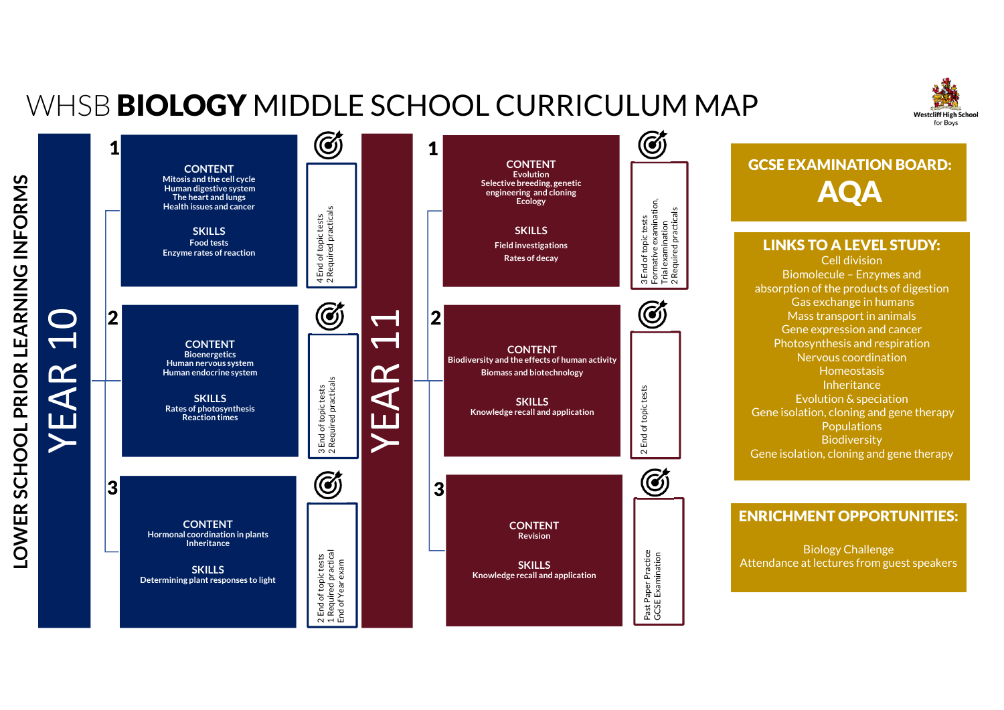## WHSB **BIOLOGY** MIDDLE SCHOOL CURRICULUM MAP